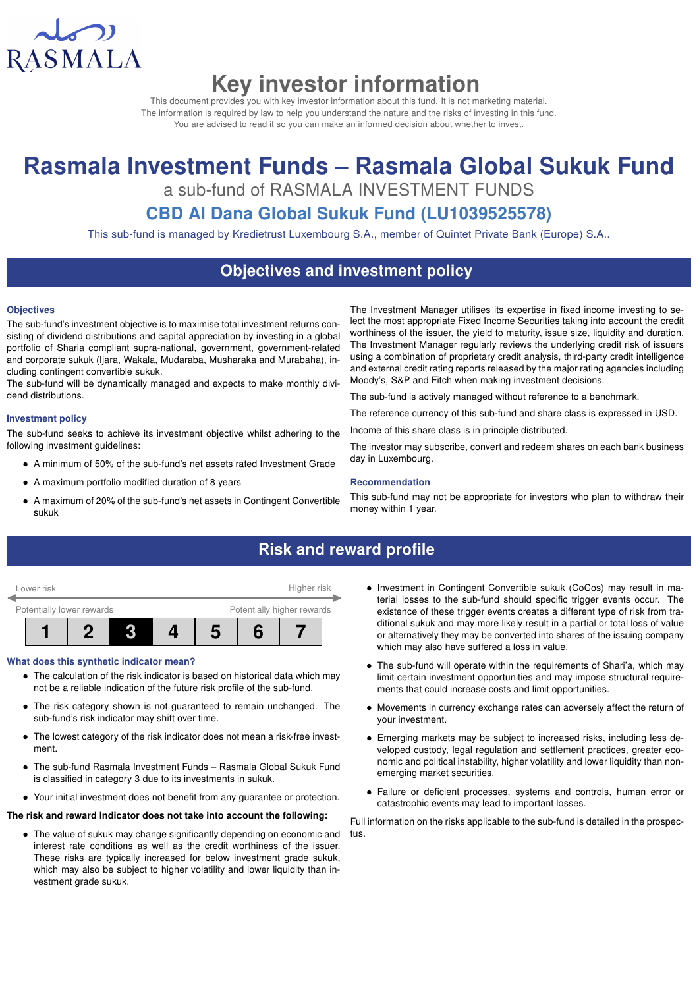

# Key investor information

This document provides you with key investor information about this fund. It is not marketing material. The information is required by law to help you understand the nature and the risks of investing in this fund. You are advised to read it so you can make an informed decision about whether to invest.

# Rasmala Investment Funds – Rasmala Global Sukuk Fund

a sub-fund of RASMALA INVESTMENT FUNDS

## CBD Al Dana Global Sukuk Fund (LU1039525578)

This sub-fund is managed by Kredietrust Luxembourg S.A., member of Quintet Private Bank (Europe) S.A..

## Objectives and investment policy

#### **Objectives**

The sub-fund's investment objective is to maximise total investment returns consisting of dividend distributions and capital appreciation by investing in a global portfolio of Sharia compliant supra-national, government, government-related and corporate sukuk (Ijara, Wakala, Mudaraba, Musharaka and Murabaha), including contingent convertible sukuk.

The sub-fund will be dynamically managed and expects to make monthly dividend distributions.

#### Investment policy

The sub-fund seeks to achieve its investment objective whilst adhering to the following investment guidelines:

- A minimum of 50% of the sub-fund's net assets rated Investment Grade
- A maximum portfolio modified duration of 8 years
- A maximum of 20% of the sub-fund's net assets in Contingent Convertible sukuk

The Investment Manager utilises its expertise in fixed income investing to select the most appropriate Fixed Income Securities taking into account the credit worthiness of the issuer, the yield to maturity, issue size, liquidity and duration. The Investment Manager regularly reviews the underlying credit risk of issuers using a combination of proprietary credit analysis, third-party credit intelligence and external credit rating reports released by the major rating agencies including Moody's, S&P and Fitch when making investment decisions.

The sub-fund is actively managed without reference to a benchmark.

The reference currency of this sub-fund and share class is expressed in USD.

Income of this share class is in principle distributed.

The investor may subscribe, convert and redeem shares on each bank business day in Luxembourg.

#### Recommendation

This sub-fund may not be appropriate for investors who plan to withdraw their money within 1 year.

## Risk and reward profile



#### What does this synthetic indicator mean?

- The calculation of the risk indicator is based on historical data which may not be a reliable indication of the future risk profile of the sub-fund.
- The risk category shown is not guaranteed to remain unchanged. The sub-fund's risk indicator may shift over time.
- The lowest category of the risk indicator does not mean a risk-free investment.
- The sub-fund Rasmala Investment Funds Rasmala Global Sukuk Fund is classified in category 3 due to its investments in sukuk.
- Your initial investment does not benefit from any guarantee or protection.

#### The risk and reward Indicator does not take into account the following:

• The value of sukuk may change significantly depending on economic and interest rate conditions as well as the credit worthiness of the issuer. These risks are typically increased for below investment grade sukuk, which may also be subject to higher volatility and lower liquidity than investment grade sukuk.

- Investment in Contingent Convertible sukuk (CoCos) may result in material losses to the sub-fund should specific trigger events occur. The existence of these trigger events creates a different type of risk from traditional sukuk and may more likely result in a partial or total loss of value or alternatively they may be converted into shares of the issuing company which may also have suffered a loss in value.
- The sub-fund will operate within the requirements of Shari'a, which may limit certain investment opportunities and may impose structural requirements that could increase costs and limit opportunities.
- Movements in currency exchange rates can adversely affect the return of your investment.
- Emerging markets may be subject to increased risks, including less developed custody, legal regulation and settlement practices, greater economic and political instability, higher volatility and lower liquidity than nonemerging market securities.
- Failure or deficient processes, systems and controls, human error or catastrophic events may lead to important losses.

Full information on the risks applicable to the sub-fund is detailed in the prospectus.